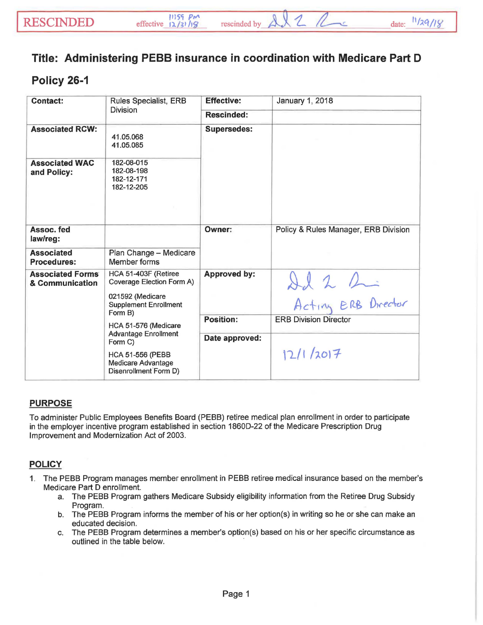## Title: Administering PEBB insurance in coordination with Medicare Part D

## Policy 26-1

| <b>Contact:</b>                            | Rules Specialist, ERB<br><b>Division</b>                                                                                                                                           | <b>Effective:</b>   | January 1, 2018                      |
|--------------------------------------------|------------------------------------------------------------------------------------------------------------------------------------------------------------------------------------|---------------------|--------------------------------------|
|                                            |                                                                                                                                                                                    | <b>Rescinded:</b>   |                                      |
| <b>Associated RCW:</b>                     | 41.05.068<br>41.05.085                                                                                                                                                             | <b>Supersedes:</b>  |                                      |
| <b>Associated WAC</b><br>and Policy:       | 182-08-015<br>182-08-198<br>182-12-171<br>182-12-205                                                                                                                               |                     |                                      |
| Assoc. fed<br>law/reg:                     |                                                                                                                                                                                    | Owner:              | Policy & Rules Manager, ERB Division |
| <b>Associated</b><br><b>Procedures:</b>    | Plan Change - Medicare<br>Member forms                                                                                                                                             |                     |                                      |
| <b>Associated Forms</b><br>& Communication | HCA 51-403F (Retiree<br>Coverage Election Form A)<br>021592 (Medicare<br><b>Supplement Enrollment</b><br>Form B)<br>HCA 51-576 (Medicare<br><b>Advantage Enrollment</b><br>Form C) | <b>Approved by:</b> | Il 2 2 2                             |
|                                            |                                                                                                                                                                                    | <b>Position:</b>    | <b>ERB Division Director</b>         |
|                                            |                                                                                                                                                                                    | Date approved:      |                                      |
|                                            | <b>HCA 51-556 (PEBB</b><br><b>Medicare Advantage</b><br>Disenrollment Form D)                                                                                                      |                     | 12/1/2017                            |

## PURPOSE

To administer Public Employees Benefits Board (PEBB) retiree medical plan enrollment in order to participate in the employer incentive program established in section 1860D-22 of the Medicare Prescription Drug Improvement and Modernization Act of 2003.

## **POLICY**

- 1. The PEBB Program manages member enrollment in PEBB retiree medical insurance based on the member's Medicare Part D enrollment.
	- a. The PEBB Program gathers Medicare Subsidy eligibility information from the Retiree Drug Subsidy Program.
	- b. The PEBB Program informs the member of his or her option(s) in writing so he or she can make an educated decision.
	- c. The PEBB Program determines a member's option(s) based on his or her specific circumstance as outlined in the table below.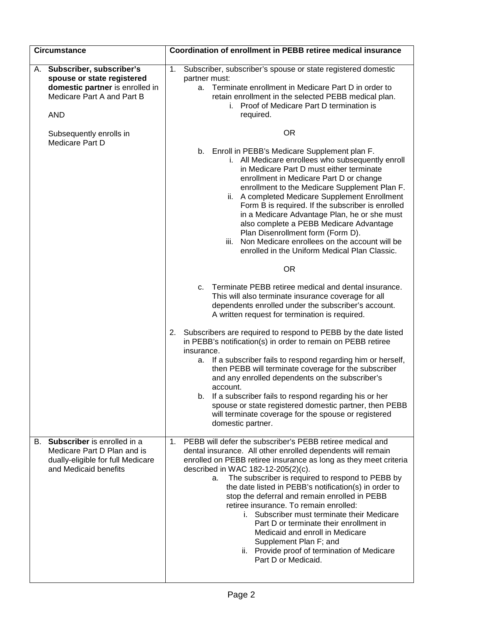| <b>Circumstance</b>                                                                                                                      | Coordination of enrollment in PEBB retiree medical insurance                                                                                                                                                                                                                                                                                                                                                                                                                                                                                                                                                                                                                         |  |  |
|------------------------------------------------------------------------------------------------------------------------------------------|--------------------------------------------------------------------------------------------------------------------------------------------------------------------------------------------------------------------------------------------------------------------------------------------------------------------------------------------------------------------------------------------------------------------------------------------------------------------------------------------------------------------------------------------------------------------------------------------------------------------------------------------------------------------------------------|--|--|
| A. Subscriber, subscriber's<br>spouse or state registered<br>domestic partner is enrolled in<br>Medicare Part A and Part B<br><b>AND</b> | Subscriber, subscriber's spouse or state registered domestic<br>$\mathbf{1}$ .<br>partner must:<br>Terminate enrollment in Medicare Part D in order to<br>а.<br>retain enrollment in the selected PEBB medical plan.<br>i. Proof of Medicare Part D termination is<br>required.                                                                                                                                                                                                                                                                                                                                                                                                      |  |  |
| Subsequently enrolls in<br>Medicare Part D                                                                                               | <b>OR</b>                                                                                                                                                                                                                                                                                                                                                                                                                                                                                                                                                                                                                                                                            |  |  |
|                                                                                                                                          | b. Enroll in PEBB's Medicare Supplement plan F.<br>i. All Medicare enrollees who subsequently enroll<br>in Medicare Part D must either terminate<br>enrollment in Medicare Part D or change<br>enrollment to the Medicare Supplement Plan F.<br>ii. A completed Medicare Supplement Enrollment<br>Form B is required. If the subscriber is enrolled<br>in a Medicare Advantage Plan, he or she must<br>also complete a PEBB Medicare Advantage<br>Plan Disenrollment form (Form D).<br>Non Medicare enrollees on the account will be<br>iii.<br>enrolled in the Uniform Medical Plan Classic.                                                                                        |  |  |
|                                                                                                                                          | <b>OR</b>                                                                                                                                                                                                                                                                                                                                                                                                                                                                                                                                                                                                                                                                            |  |  |
|                                                                                                                                          | Terminate PEBB retiree medical and dental insurance.<br>C.<br>This will also terminate insurance coverage for all<br>dependents enrolled under the subscriber's account.<br>A written request for termination is required.                                                                                                                                                                                                                                                                                                                                                                                                                                                           |  |  |
|                                                                                                                                          | Subscribers are required to respond to PEBB by the date listed<br>2.<br>in PEBB's notification(s) in order to remain on PEBB retiree<br>insurance.<br>If a subscriber fails to respond regarding him or herself,<br>а.<br>then PEBB will terminate coverage for the subscriber<br>and any enrolled dependents on the subscriber's<br>account.<br>If a subscriber fails to respond regarding his or her<br>b.<br>spouse or state registered domestic partner, then PEBB<br>will terminate coverage for the spouse or registered<br>domestic partner.                                                                                                                                  |  |  |
| Subscriber is enrolled in a<br>В.<br>Medicare Part D Plan and is<br>dually-eligible for full Medicare<br>and Medicaid benefits           | PEBB will defer the subscriber's PEBB retiree medical and<br>1.<br>dental insurance. All other enrolled dependents will remain<br>enrolled on PEBB retiree insurance as long as they meet criteria<br>described in WAC 182-12-205(2)(c).<br>The subscriber is required to respond to PEBB by<br>а.<br>the date listed in PEBB's notification(s) in order to<br>stop the deferral and remain enrolled in PEBB<br>retiree insurance. To remain enrolled:<br>i. Subscriber must terminate their Medicare<br>Part D or terminate their enrollment in<br>Medicaid and enroll in Medicare<br>Supplement Plan F; and<br>ii. Provide proof of termination of Medicare<br>Part D or Medicaid. |  |  |